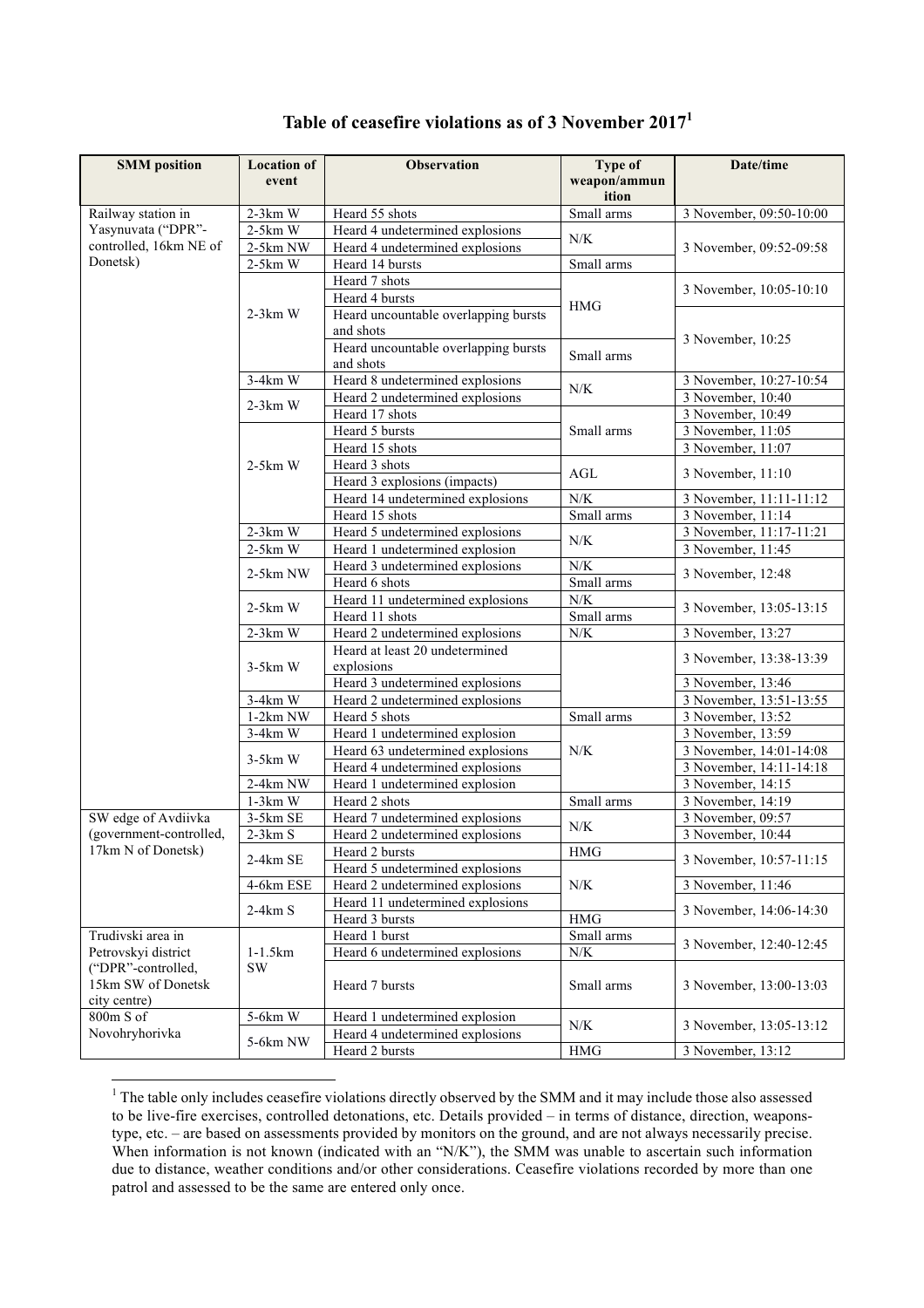| <b>SMM</b> position                                             | <b>Location of</b><br>event | <b>Observation</b>                   | <b>Type of</b><br>weapon/ammun | Date/time               |
|-----------------------------------------------------------------|-----------------------------|--------------------------------------|--------------------------------|-------------------------|
|                                                                 |                             |                                      | ition                          |                         |
| Railway station in                                              | $2-3km$ W                   | Heard 55 shots                       | Small arms                     | 3 November, 09:50-10:00 |
| Yasynuvata ("DPR"-                                              | $2-5km$ W                   | Heard 4 undetermined explosions      |                                |                         |
| controlled, 16km NE of                                          | 2-5km NW                    | Heard 4 undetermined explosions      | N/K                            | 3 November, 09:52-09:58 |
| Donetsk)                                                        | $2-5km$ W                   | Heard 14 bursts                      | Small arms                     |                         |
|                                                                 |                             | Heard 7 shots                        |                                |                         |
|                                                                 |                             | Heard 4 bursts                       |                                | 3 November, 10:05-10:10 |
|                                                                 | $2-3km$ W                   | Heard uncountable overlapping bursts | <b>HMG</b>                     |                         |
|                                                                 |                             | and shots                            |                                |                         |
|                                                                 |                             | Heard uncountable overlapping bursts | Small arms                     | 3 November, 10:25       |
|                                                                 |                             | and shots                            |                                |                         |
|                                                                 | $3-4km$ W                   | Heard 8 undetermined explosions      | N/K                            | 3 November, 10:27-10:54 |
|                                                                 | $2-3km$ W                   | Heard 2 undetermined explosions      |                                | 3 November, 10:40       |
|                                                                 |                             | Heard 17 shots                       |                                | 3 November, 10:49       |
|                                                                 |                             | Heard 5 bursts                       | Small arms                     | 3 November, 11:05       |
|                                                                 |                             | Heard 15 shots                       |                                | 3 November, 11:07       |
|                                                                 | $2-5km$ W                   | Heard 3 shots                        | AGL                            | 3 November, 11:10       |
|                                                                 |                             | Heard 3 explosions (impacts)         |                                |                         |
|                                                                 |                             | Heard 14 undetermined explosions     | N/K                            | 3 November, 11:11-11:12 |
|                                                                 |                             | Heard 15 shots                       | Small arms                     | 3 November, 11:14       |
|                                                                 | $2-3km$ W                   | Heard 5 undetermined explosions      | N/K                            | 3 November, 11:17-11:21 |
|                                                                 | $2-5km$ W                   | Heard 1 undetermined explosion       |                                | 3 November, 11:45       |
|                                                                 | 2-5km NW                    | Heard 3 undetermined explosions      | N/K                            | 3 November, 12:48       |
|                                                                 |                             | Heard 6 shots                        | Small arms                     |                         |
|                                                                 | $2-5km$ W                   | Heard 11 undetermined explosions     | N/K                            | 3 November, 13:05-13:15 |
|                                                                 |                             | Heard 11 shots                       | Small arms                     |                         |
|                                                                 | $2-3km$ W                   | Heard 2 undetermined explosions      | N/K                            | 3 November, 13:27       |
|                                                                 |                             | Heard at least 20 undetermined       |                                | 3 November, 13:38-13:39 |
|                                                                 | $3-5km$ W                   | explosions                           |                                |                         |
|                                                                 |                             | Heard 3 undetermined explosions      |                                | 3 November, 13:46       |
|                                                                 | $3-4km$ W                   | Heard 2 undetermined explosions      |                                | 3 November, 13:51-13:55 |
|                                                                 | 1-2km NW                    | Heard 5 shots                        | Small arms                     | 3 November, 13:52       |
|                                                                 | $3-4km$ W                   | Heard 1 undetermined explosion       |                                | 3 November, 13:59       |
|                                                                 | $3-5km$ W                   | Heard 63 undetermined explosions     | N/K                            | 3 November, 14:01-14:08 |
|                                                                 |                             | Heard 4 undetermined explosions      |                                | 3 November, 14:11-14:18 |
|                                                                 | 2-4km NW                    | Heard 1 undetermined explosion       |                                | 3 November, 14:15       |
|                                                                 | $1-3km$ W                   | Heard 2 shots                        | Small arms                     | 3 November, 14:19       |
| SW edge of Avdiivka                                             | 3-5km SE                    | Heard 7 undetermined explosions      | N/K                            | 3 November, 09:57       |
| (government-controlled,                                         | $2-3km S$                   | Heard 2 undetermined explosions      |                                | 3 November, 10:44       |
| 17km N of Donetsk)                                              | 2-4km SE                    | Heard 2 bursts                       | HMG                            | 3 November, 10:57-11:15 |
|                                                                 |                             | Heard 5 undetermined explosions      |                                |                         |
|                                                                 | 4-6km ESE                   | Heard 2 undetermined explosions      | N/K                            | 3 November, 11:46       |
|                                                                 | $2-4km S$                   | Heard 11 undetermined explosions     |                                | 3 November, 14:06-14:30 |
|                                                                 |                             | Heard 3 bursts                       | <b>HMG</b>                     |                         |
| Trudivski area in                                               |                             | Heard 1 burst                        | Small arms                     | 3 November, 12:40-12:45 |
| Petrovskyi district<br>("DPR"-controlled,<br>15km SW of Donetsk | $1-1.5km$<br><b>SW</b>      | Heard 6 undetermined explosions      | N/K                            |                         |
|                                                                 |                             | Heard 7 bursts                       | Small arms                     | 3 November, 13:00-13:03 |
| city centre)                                                    |                             |                                      |                                |                         |
| 800m S of                                                       | $5-6km$ W                   | Heard 1 undetermined explosion       | N/K                            | 3 November, 13:05-13:12 |
| Novohryhorivka                                                  | 5-6km NW                    | Heard 4 undetermined explosions      |                                |                         |
|                                                                 |                             | Heard 2 bursts                       | <b>HMG</b>                     | 3 November, 13:12       |

## **Table of ceasefire violations as of 3 November 2017<sup>1</sup>**

<u> 1989 - Johann Barn, mars ann an t-Amhain Aonaich ann an t-Aonaich ann an t-Aonaich ann an t-Aonaich ann an t-</u>

 $1$ <sup>1</sup> The table only includes ceasefire violations directly observed by the SMM and it may include those also assessed to be live-fire exercises, controlled detonations, etc. Details provided – in terms of distance, direction, weaponstype, etc. – are based on assessments provided by monitors on the ground, and are not always necessarily precise. When information is not known (indicated with an "N/K"), the SMM was unable to ascertain such information when information due to distance, weather conditions and/or other considerations. Ceasefire violations recorded by more than one patrol and assessed to be the same are entered only once.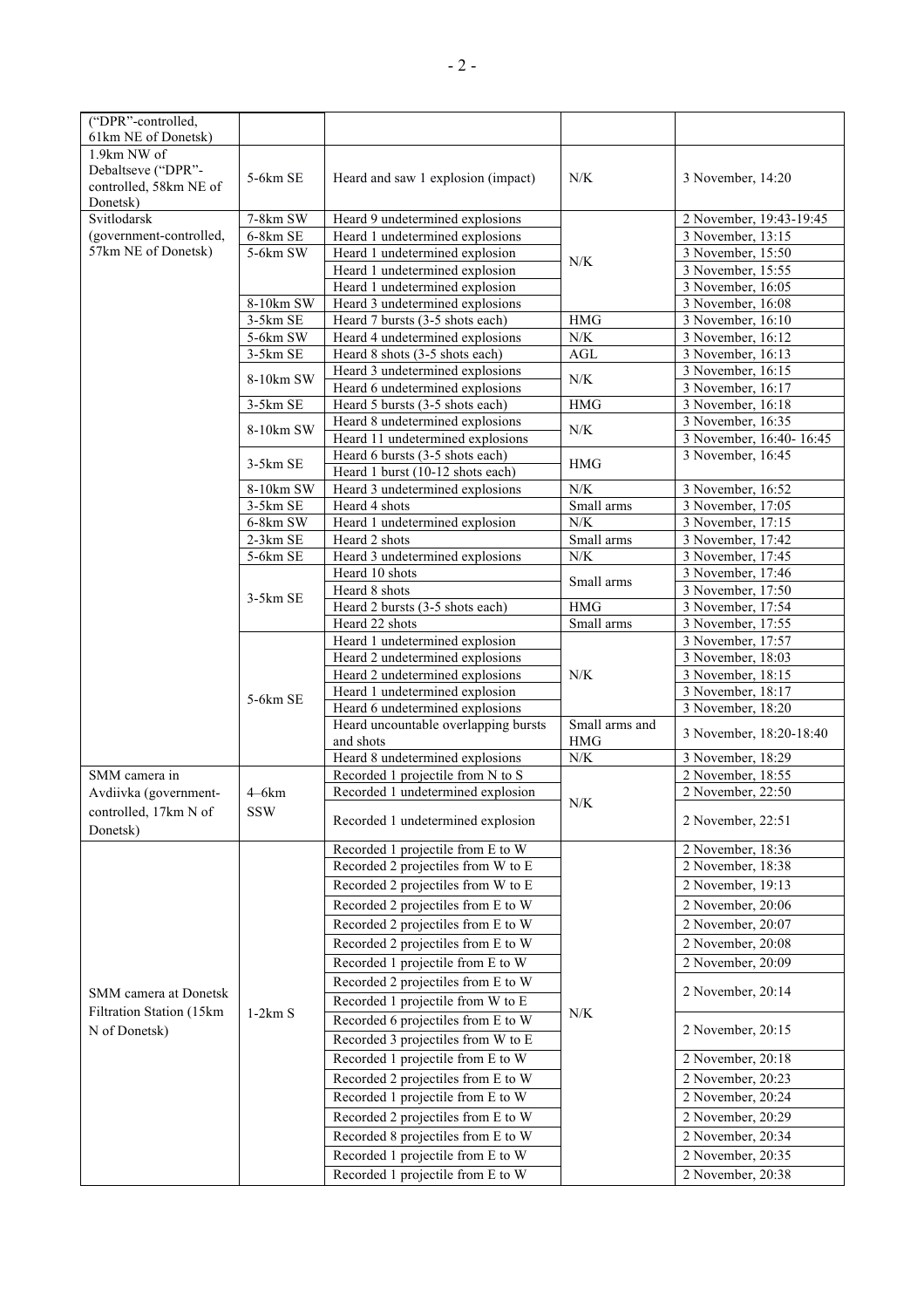| ("DPR"-controlled,                        |            |                                                                     |                |                                        |
|-------------------------------------------|------------|---------------------------------------------------------------------|----------------|----------------------------------------|
| 61km NE of Donetsk)                       |            |                                                                     |                |                                        |
| 1.9km NW of                               |            |                                                                     |                |                                        |
| Debaltseve ("DPR"-                        | 5-6km SE   | Heard and saw 1 explosion (impact)                                  | N/K            | 3 November, 14:20                      |
| controlled, 58km NE of                    |            |                                                                     |                |                                        |
| Donetsk)                                  |            |                                                                     |                |                                        |
| Svitlodarsk                               | 7-8km SW   | Heard 9 undetermined explosions                                     |                | 2 November, 19:43-19:45                |
| (government-controlled,                   | $6-8km$ SE | Heard 1 undetermined explosions                                     |                | 3 November, 13:15                      |
| 57km NE of Donetsk)                       | 5-6km SW   | Heard 1 undetermined explosion                                      | N/K            | 3 November, 15:50                      |
|                                           |            | Heard 1 undetermined explosion                                      |                | 3 November, 15:55                      |
|                                           |            | Heard 1 undetermined explosion                                      |                | 3 November, 16:05                      |
|                                           | 8-10km SW  | Heard 3 undetermined explosions                                     |                | 3 November, 16:08                      |
|                                           | 3-5km SE   | Heard 7 bursts (3-5 shots each)                                     | <b>HMG</b>     | 3 November, 16:10                      |
|                                           | 5-6km SW   | Heard 4 undetermined explosions                                     | N/K            | 3 November, 16:12                      |
|                                           | 3-5km SE   | Heard 8 shots (3-5 shots each)                                      | AGL            | 3 November, 16:13                      |
|                                           | 8-10km SW  | Heard 3 undetermined explosions                                     | N/K            | 3 November, 16:15                      |
|                                           |            | Heard 6 undetermined explosions                                     |                | 3 November, 16:17                      |
|                                           | 3-5km SE   | Heard 5 bursts (3-5 shots each)                                     | <b>HMG</b>     | 3 November, 16:18                      |
|                                           | 8-10km SW  | Heard 8 undetermined explosions                                     | N/K            | 3 November, 16:35                      |
|                                           |            | Heard 11 undetermined explosions                                    |                | 3 November, 16:40-16:45                |
|                                           | $3-5km$ SE | Heard 6 bursts (3-5 shots each)                                     | <b>HMG</b>     | 3 November, 16:45                      |
|                                           | 8-10km SW  | Heard 1 burst (10-12 shots each)<br>Heard 3 undetermined explosions | N/K            | 3 November, 16:52                      |
|                                           | 3-5km SE   | Heard 4 shots                                                       | Small arms     | 3 November, 17:05                      |
|                                           | 6-8km SW   | Heard 1 undetermined explosion                                      | $N/K$          |                                        |
|                                           | 2-3km SE   |                                                                     | Small arms     | 3 November, 17:15<br>3 November, 17:42 |
|                                           | 5-6km SE   | Heard 2 shots<br>Heard 3 undetermined explosions                    | N/K            | 3 November, 17:45                      |
|                                           |            | Heard 10 shots                                                      |                | 3 November, 17:46                      |
|                                           |            | Heard 8 shots                                                       | Small arms     | 3 November, 17:50                      |
|                                           | 3-5km SE   | Heard 2 bursts (3-5 shots each)                                     | <b>HMG</b>     | 3 November, 17:54                      |
|                                           |            | Heard 22 shots                                                      | Small arms     | 3 November, 17:55                      |
|                                           |            | Heard 1 undetermined explosion                                      |                | 3 November, 17:57                      |
|                                           |            | Heard 2 undetermined explosions                                     | N/K            | 3 November, 18:03                      |
|                                           |            | Heard 2 undetermined explosions                                     |                | 3 November, 18:15                      |
|                                           |            | Heard 1 undetermined explosion                                      |                | 3 November, 18:17                      |
|                                           | 5-6km SE   | Heard 6 undetermined explosions                                     |                | 3 November, 18:20                      |
|                                           |            | Heard uncountable overlapping bursts                                | Small arms and |                                        |
|                                           |            | and shots                                                           | <b>HMG</b>     | 3 November, 18:20-18:40                |
|                                           |            | Heard 8 undetermined explosions                                     | $N\!/\!K$      | 3 November, 18:29                      |
| SMM camera in                             |            | Recorded 1 projectile from N to S                                   |                | 2 November, 18:55                      |
| Avdiivka (government-                     | $4-6km$    | Recorded 1 undetermined explosion                                   |                | 2 November, 22:50                      |
| controlled, 17km N of                     | <b>SSW</b> |                                                                     | N/K            |                                        |
| Donetsk)                                  |            | Recorded 1 undetermined explosion                                   |                | 2 November, 22:51                      |
|                                           |            | Recorded 1 projectile from E to W                                   |                | 2 November, 18:36                      |
|                                           | $1-2km S$  | Recorded 2 projectiles from W to E                                  | N/K            | 2 November, 18:38                      |
|                                           |            |                                                                     |                |                                        |
|                                           |            | Recorded 2 projectiles from W to E                                  |                | 2 November, 19:13                      |
|                                           |            | Recorded 2 projectiles from E to W                                  |                | 2 November, 20:06                      |
|                                           |            | Recorded 2 projectiles from E to W                                  |                | 2 November, 20:07                      |
|                                           |            | Recorded 2 projectiles from E to W                                  |                | 2 November, 20:08                      |
|                                           |            | Recorded 1 projectile from E to W                                   |                | 2 November, 20:09                      |
|                                           |            | Recorded 2 projectiles from E to W                                  |                |                                        |
| SMM camera at Donetsk                     |            | Recorded 1 projectile from W to E                                   |                | 2 November, 20:14                      |
| Filtration Station (15km<br>N of Donetsk) |            | Recorded 6 projectiles from E to W                                  |                |                                        |
|                                           |            |                                                                     |                | 2 November, 20:15                      |
|                                           |            | Recorded 3 projectiles from W to E                                  |                |                                        |
|                                           |            | Recorded 1 projectile from E to W                                   |                | 2 November, 20:18                      |
|                                           |            | Recorded 2 projectiles from E to W                                  |                | 2 November, 20:23                      |
|                                           |            | Recorded 1 projectile from E to W                                   |                | 2 November, 20:24                      |
|                                           |            | Recorded 2 projectiles from E to W                                  |                | 2 November, 20:29                      |
|                                           |            | Recorded 8 projectiles from E to W                                  |                | 2 November, 20:34                      |
|                                           |            | Recorded 1 projectile from E to W                                   |                | 2 November, 20:35                      |
|                                           |            | Recorded 1 projectile from E to W                                   |                | 2 November, 20:38                      |
|                                           |            |                                                                     |                |                                        |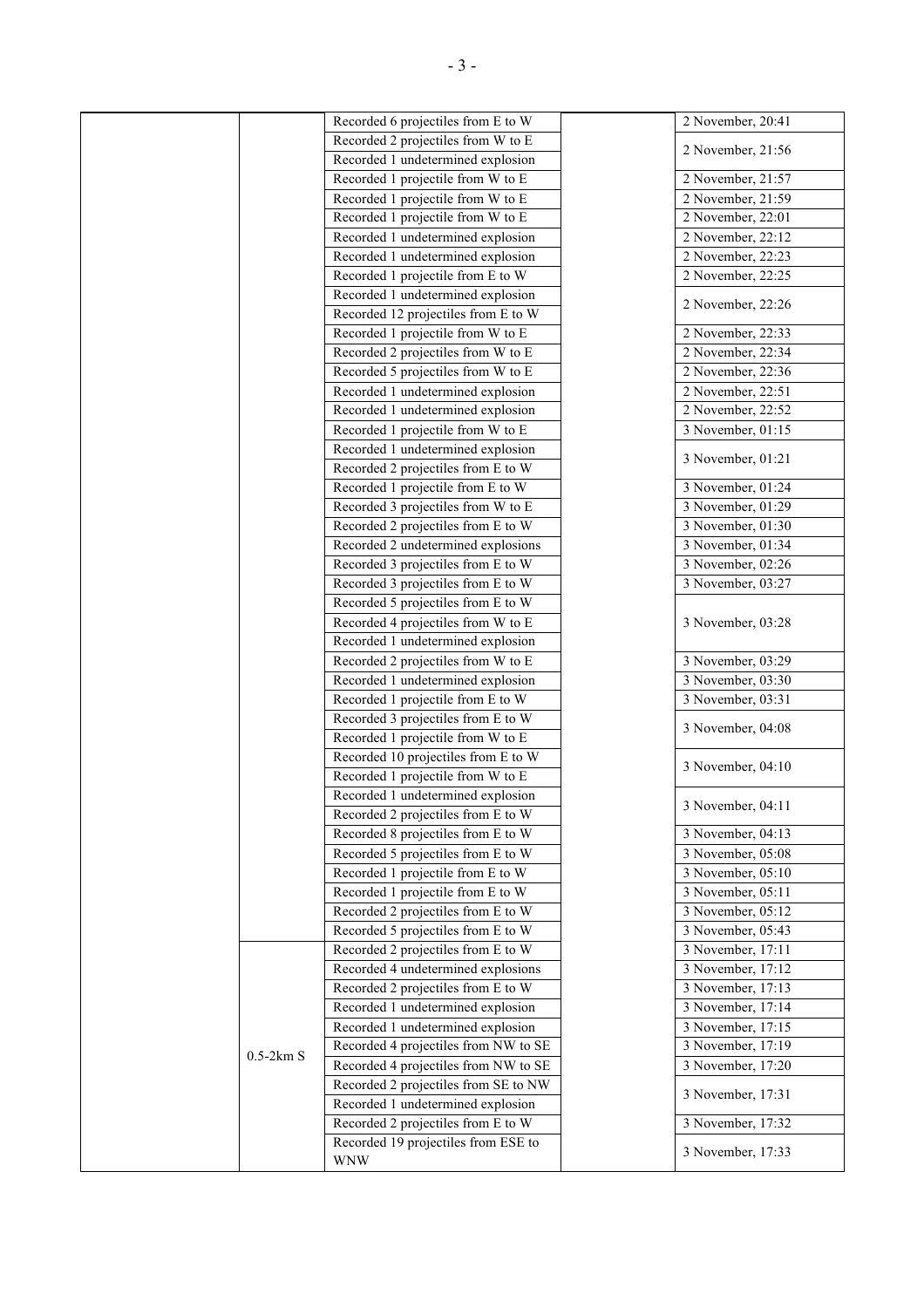|  |             | Recorded 6 projectiles from E to W                                     | 2 November, 20:41                      |
|--|-------------|------------------------------------------------------------------------|----------------------------------------|
|  |             | Recorded 2 projectiles from W to E                                     |                                        |
|  |             | Recorded 1 undetermined explosion                                      | 2 November, 21:56                      |
|  |             | Recorded 1 projectile from W to E                                      | 2 November, 21:57                      |
|  |             | Recorded 1 projectile from W to E                                      | 2 November, 21:59                      |
|  |             | Recorded 1 projectile from W to E                                      | 2 November, 22:01                      |
|  |             | Recorded 1 undetermined explosion                                      | 2 November, 22:12                      |
|  |             | Recorded 1 undetermined explosion                                      | 2 November, 22:23                      |
|  |             | Recorded 1 projectile from E to W                                      | 2 November, 22:25                      |
|  |             | Recorded 1 undetermined explosion                                      |                                        |
|  |             | Recorded 12 projectiles from E to W                                    | 2 November, 22:26                      |
|  |             | Recorded 1 projectile from W to E                                      | 2 November, 22:33                      |
|  |             | Recorded 2 projectiles from W to E                                     | 2 November, 22:34                      |
|  |             | Recorded 5 projectiles from W to E                                     | 2 November, 22:36                      |
|  |             | Recorded 1 undetermined explosion                                      | 2 November, 22:51                      |
|  |             | Recorded 1 undetermined explosion                                      | 2 November, 22:52                      |
|  |             | Recorded 1 projectile from W to E                                      | 3 November, 01:15                      |
|  |             | Recorded 1 undetermined explosion                                      |                                        |
|  |             | Recorded 2 projectiles from E to W                                     | 3 November, 01:21                      |
|  |             | Recorded 1 projectile from E to W                                      | 3 November, 01:24                      |
|  |             | Recorded 3 projectiles from W to E                                     | 3 November, 01:29                      |
|  |             | Recorded 2 projectiles from E to W                                     | 3 November, 01:30                      |
|  |             | Recorded 2 undetermined explosions                                     | 3 November, 01:34                      |
|  |             | Recorded 3 projectiles from E to W                                     | 3 November, 02:26                      |
|  |             | Recorded 3 projectiles from E to W                                     | 3 November, 03:27                      |
|  |             | Recorded 5 projectiles from E to W                                     |                                        |
|  |             | Recorded 4 projectiles from W to E                                     |                                        |
|  |             | Recorded 1 undetermined explosion                                      | 3 November, 03:28                      |
|  |             | Recorded 2 projectiles from W to E                                     | 3 November, 03:29                      |
|  |             | Recorded 1 undetermined explosion                                      | 3 November, 03:30                      |
|  |             | Recorded 1 projectile from E to W                                      | 3 November, 03:31                      |
|  |             | Recorded 3 projectiles from E to W                                     |                                        |
|  |             | Recorded 1 projectile from W to E                                      | 3 November, 04:08                      |
|  |             | Recorded 10 projectiles from E to W                                    |                                        |
|  |             | Recorded 1 projectile from W to E                                      | 3 November, 04:10                      |
|  |             | Recorded 1 undetermined explosion                                      |                                        |
|  |             |                                                                        | 3 November, 04:11                      |
|  |             | Recorded 2 projectiles from E to W                                     |                                        |
|  |             | Recorded 8 projectiles from E to W                                     | 3 November, 04:13                      |
|  |             | Recorded 5 projectiles from E to W                                     | 3 November, 05:08                      |
|  |             | Recorded 1 projectile from E to W<br>Recorded 1 projectile from E to W | 3 November, 05:10<br>3 November, 05:11 |
|  |             | Recorded 2 projectiles from E to W                                     | 3 November, 05:12                      |
|  |             |                                                                        |                                        |
|  |             | Recorded 5 projectiles from E to W                                     | 3 November, 05:43                      |
|  |             | Recorded 2 projectiles from E to W                                     | 3 November, 17:11                      |
|  |             | Recorded 4 undetermined explosions                                     | 3 November, 17:12                      |
|  |             | Recorded 2 projectiles from E to W                                     | 3 November, 17:13                      |
|  |             | Recorded 1 undetermined explosion                                      | 3 November, 17:14                      |
|  |             | Recorded 1 undetermined explosion                                      | 3 November, 17:15                      |
|  | $0.5-2km S$ | Recorded 4 projectiles from NW to SE                                   | 3 November, 17:19                      |
|  |             | Recorded 4 projectiles from NW to SE                                   | 3 November, 17:20                      |
|  |             | Recorded 2 projectiles from SE to NW                                   | 3 November, 17:31                      |
|  |             | Recorded 1 undetermined explosion                                      |                                        |
|  |             | Recorded 2 projectiles from E to W                                     | 3 November, 17:32                      |
|  |             | Recorded 19 projectiles from ESE to                                    | 3 November, 17:33                      |
|  |             | <b>WNW</b>                                                             |                                        |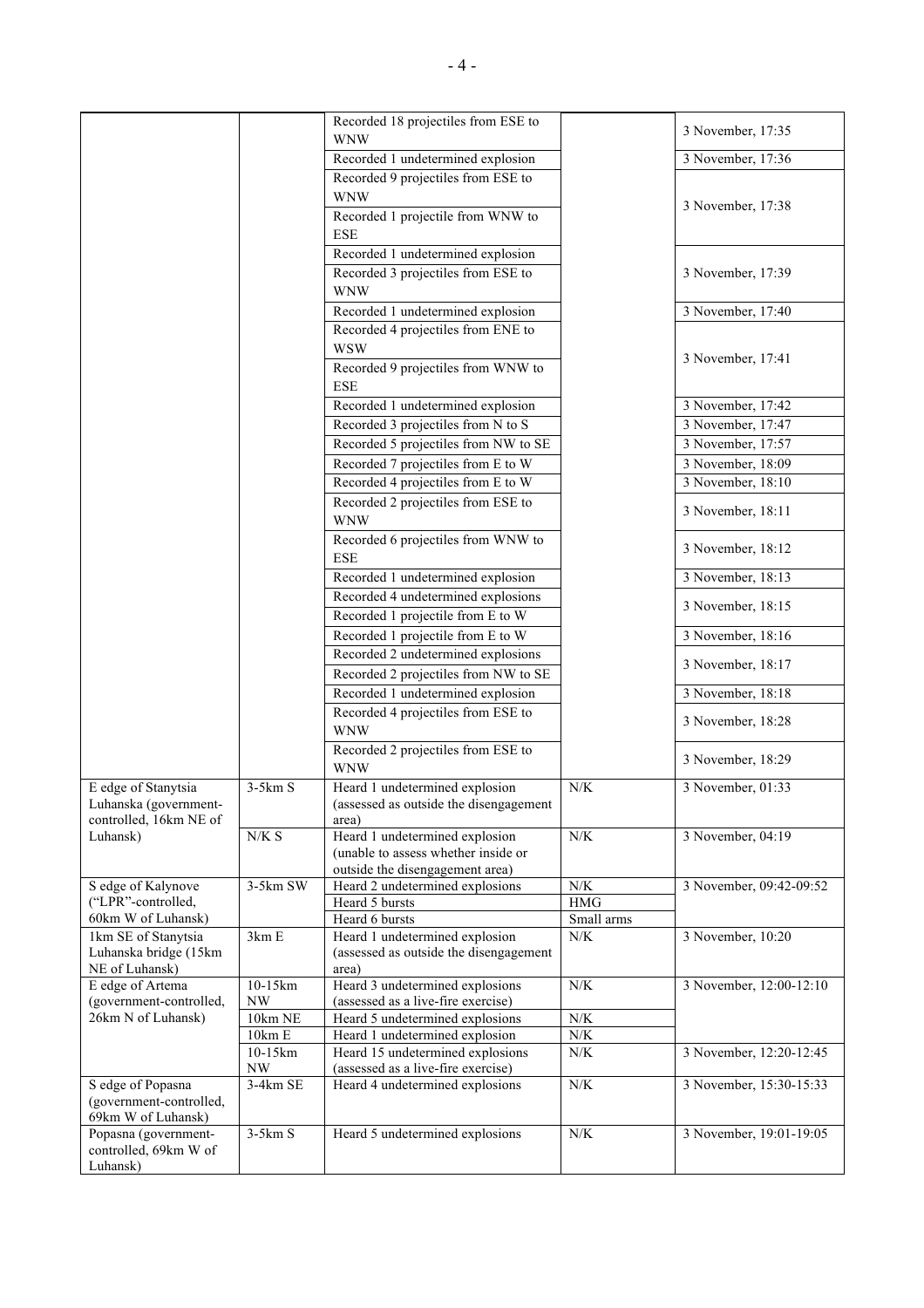|                                               |           | Recorded 18 projectiles from ESE to                                   |            |                         |
|-----------------------------------------------|-----------|-----------------------------------------------------------------------|------------|-------------------------|
|                                               |           | <b>WNW</b>                                                            |            | 3 November, 17:35       |
|                                               |           | Recorded 1 undetermined explosion                                     |            | 3 November, 17:36       |
|                                               |           | Recorded 9 projectiles from ESE to                                    |            |                         |
|                                               |           | <b>WNW</b>                                                            |            |                         |
|                                               |           | Recorded 1 projectile from WNW to                                     |            | 3 November, 17:38       |
|                                               |           | <b>ESE</b>                                                            |            |                         |
|                                               |           | Recorded 1 undetermined explosion                                     |            |                         |
|                                               |           | Recorded 3 projectiles from ESE to                                    |            | 3 November, 17:39       |
|                                               |           | <b>WNW</b>                                                            |            |                         |
|                                               |           | Recorded 1 undetermined explosion                                     |            | 3 November, 17:40       |
|                                               |           | Recorded 4 projectiles from ENE to                                    |            |                         |
|                                               |           | <b>WSW</b>                                                            |            |                         |
|                                               |           | Recorded 9 projectiles from WNW to                                    |            | 3 November, 17:41       |
|                                               |           | <b>ESE</b>                                                            |            |                         |
|                                               |           | Recorded 1 undetermined explosion                                     |            | 3 November, 17:42       |
|                                               |           | Recorded 3 projectiles from N to S                                    |            | 3 November, 17:47       |
|                                               |           | Recorded 5 projectiles from NW to SE                                  |            | 3 November, 17:57       |
|                                               |           | Recorded 7 projectiles from E to W                                    |            | 3 November, 18:09       |
|                                               |           | Recorded 4 projectiles from E to W                                    |            | 3 November, 18:10       |
|                                               |           | Recorded 2 projectiles from ESE to                                    |            |                         |
|                                               |           | <b>WNW</b>                                                            |            | 3 November, 18:11       |
|                                               |           | Recorded 6 projectiles from WNW to                                    |            |                         |
|                                               |           | <b>ESE</b>                                                            |            | 3 November, 18:12       |
|                                               |           | Recorded 1 undetermined explosion                                     |            | 3 November, 18:13       |
|                                               |           | Recorded 4 undetermined explosions                                    |            |                         |
|                                               |           | Recorded 1 projectile from E to W                                     |            | 3 November, 18:15       |
|                                               |           | Recorded 1 projectile from E to W                                     |            | 3 November, 18:16       |
|                                               |           | Recorded 2 undetermined explosions                                    |            |                         |
|                                               |           | Recorded 2 projectiles from NW to SE                                  |            | 3 November, 18:17       |
|                                               |           | Recorded 1 undetermined explosion                                     |            | 3 November, 18:18       |
|                                               |           | Recorded 4 projectiles from ESE to                                    |            |                         |
|                                               |           | <b>WNW</b>                                                            |            | 3 November, 18:28       |
|                                               |           | Recorded 2 projectiles from ESE to                                    |            |                         |
|                                               |           | <b>WNW</b>                                                            |            | 3 November, 18:29       |
| E edge of Stanytsia                           | $3-5km S$ | Heard 1 undetermined explosion                                        | N/K        | 3 November, 01:33       |
| Luhanska (government-                         |           | (assessed as outside the disengagement                                |            |                         |
| controlled, 16km NE of                        |           | area)                                                                 |            |                         |
| Luhansk)                                      | $N/K\ S$  | Heard 1 undetermined explosion<br>(unable to assess whether inside or | N/K        | 3 November, 04:19       |
|                                               |           | outside the disengagement area)                                       |            |                         |
| S edge of Kalynove                            | 3-5km SW  | Heard 2 undetermined explosions                                       | N/K        | 3 November, 09:42-09:52 |
| ("LPR"-controlled,                            |           | Heard 5 bursts                                                        | $\rm HMG$  |                         |
| 60km W of Luhansk)                            |           | Heard 6 bursts                                                        | Small arms |                         |
| 1km SE of Stanytsia                           | 3km E     | Heard 1 undetermined explosion                                        | N/K        | 3 November, 10:20       |
| Luhanska bridge (15km                         |           | (assessed as outside the disengagement                                |            |                         |
| NE of Luhansk)<br>E edge of Artema            | 10-15km   | area)<br>Heard 3 undetermined explosions                              | N/K        | 3 November, 12:00-12:10 |
| (government-controlled,                       | <b>NW</b> | (assessed as a live-fire exercise)                                    |            |                         |
| 26km N of Luhansk)                            | 10km NE   | Heard 5 undetermined explosions                                       | $N\!/\!K$  |                         |
|                                               | 10km E    | Heard 1 undetermined explosion                                        | N/K        |                         |
|                                               | 10-15km   | Heard 15 undetermined explosions                                      | N/K        | 3 November, 12:20-12:45 |
|                                               | NW        | (assessed as a live-fire exercise)                                    |            |                         |
| S edge of Popasna                             | 3-4km SE  | Heard 4 undetermined explosions                                       | $N\!/\!K$  | 3 November, 15:30-15:33 |
| (government-controlled,<br>69km W of Luhansk) |           |                                                                       |            |                         |
| Popasna (government-                          | $3-5km S$ | Heard 5 undetermined explosions                                       | N/K        | 3 November, 19:01-19:05 |
| controlled, 69km W of                         |           |                                                                       |            |                         |
| Luhansk)                                      |           |                                                                       |            |                         |